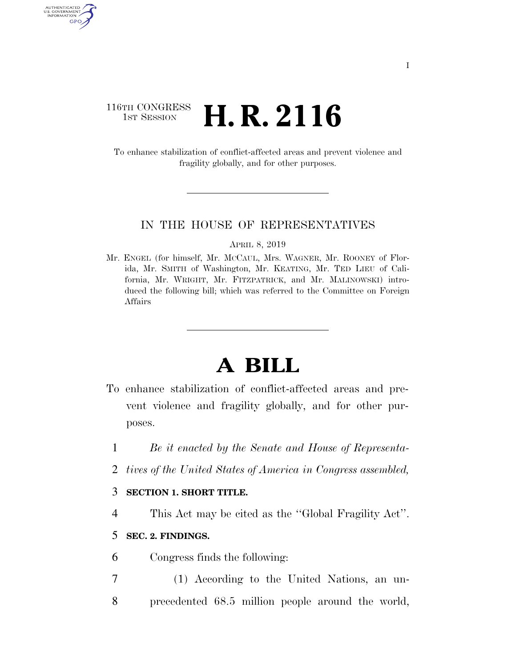### 116TH CONGRESS <sup>TH CONGRESS</sup> **H. R. 2116**

AUTHENTICATED<br>U.S. GOVERNMENT<br>INFORMATION GPO

> To enhance stabilization of conflict-affected areas and prevent violence and fragility globally, and for other purposes.

#### IN THE HOUSE OF REPRESENTATIVES

APRIL 8, 2019

Mr. ENGEL (for himself, Mr. MCCAUL, Mrs. WAGNER, Mr. ROONEY of Florida, Mr. SMITH of Washington, Mr. KEATING, Mr. TED LIEU of California, Mr. WRIGHT, Mr. FITZPATRICK, and Mr. MALINOWSKI) introduced the following bill; which was referred to the Committee on Foreign Affairs

# **A BILL**

- To enhance stabilization of conflict-affected areas and prevent violence and fragility globally, and for other purposes.
	- 1 *Be it enacted by the Senate and House of Representa-*
	- 2 *tives of the United States of America in Congress assembled,*

#### 3 **SECTION 1. SHORT TITLE.**

4 This Act may be cited as the ''Global Fragility Act''.

#### 5 **SEC. 2. FINDINGS.**

- 6 Congress finds the following:
- 7 (1) According to the United Nations, an un-8 precedented 68.5 million people around the world,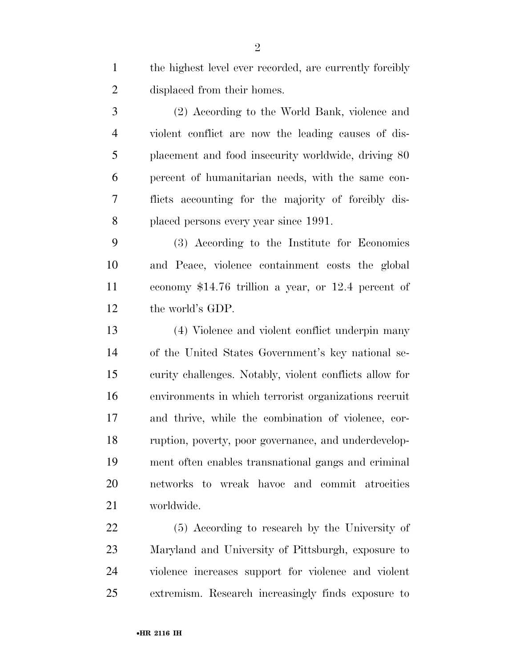the highest level ever recorded, are currently forcibly displaced from their homes.

 (2) According to the World Bank, violence and violent conflict are now the leading causes of dis- placement and food insecurity worldwide, driving 80 percent of humanitarian needs, with the same con- flicts accounting for the majority of forcibly dis-placed persons every year since 1991.

 (3) According to the Institute for Economics and Peace, violence containment costs the global economy \$14.76 trillion a year, or 12.4 percent of the world's GDP.

 (4) Violence and violent conflict underpin many of the United States Government's key national se- curity challenges. Notably, violent conflicts allow for environments in which terrorist organizations recruit and thrive, while the combination of violence, cor- ruption, poverty, poor governance, and underdevelop- ment often enables transnational gangs and criminal networks to wreak havoc and commit atrocities worldwide.

 (5) According to research by the University of Maryland and University of Pittsburgh, exposure to violence increases support for violence and violent extremism. Research increasingly finds exposure to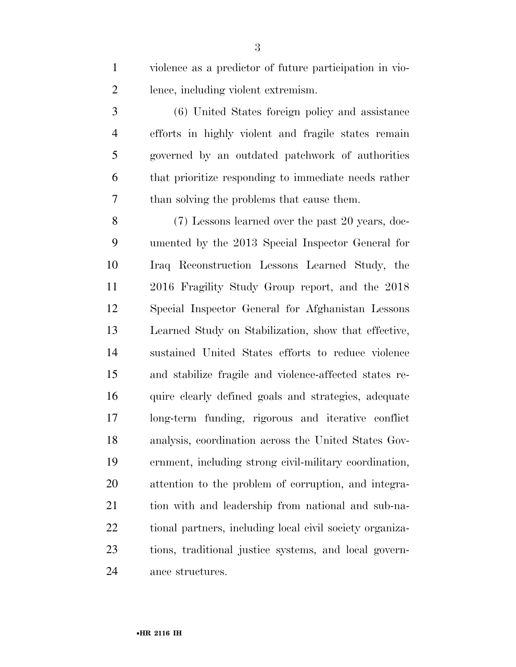violence as a predictor of future participation in vio-lence, including violent extremism.

 (6) United States foreign policy and assistance efforts in highly violent and fragile states remain governed by an outdated patchwork of authorities that prioritize responding to immediate needs rather than solving the problems that cause them.

 (7) Lessons learned over the past 20 years, doc- umented by the 2013 Special Inspector General for Iraq Reconstruction Lessons Learned Study, the 2016 Fragility Study Group report, and the 2018 Special Inspector General for Afghanistan Lessons Learned Study on Stabilization, show that effective, sustained United States efforts to reduce violence and stabilize fragile and violence-affected states re- quire clearly defined goals and strategies, adequate long-term funding, rigorous and iterative conflict analysis, coordination across the United States Gov- ernment, including strong civil-military coordination, attention to the problem of corruption, and integra- tion with and leadership from national and sub-na- tional partners, including local civil society organiza- tions, traditional justice systems, and local govern-ance structures.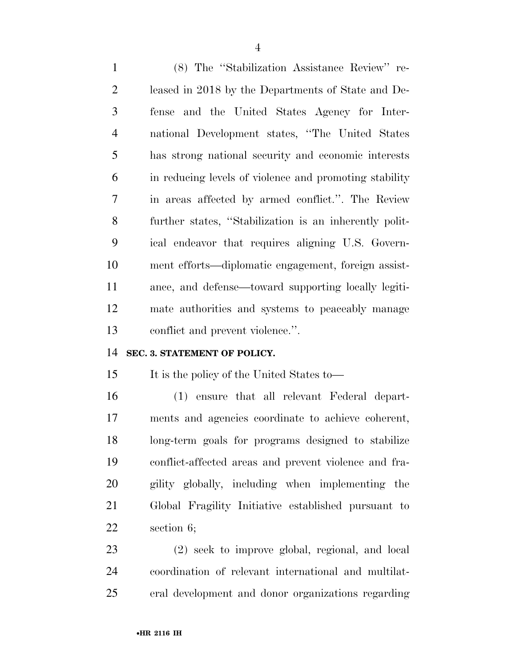(8) The ''Stabilization Assistance Review'' re- leased in 2018 by the Departments of State and De- fense and the United States Agency for Inter- national Development states, ''The United States has strong national security and economic interests in reducing levels of violence and promoting stability in areas affected by armed conflict.''. The Review further states, ''Stabilization is an inherently polit- ical endeavor that requires aligning U.S. Govern- ment efforts—diplomatic engagement, foreign assist- ance, and defense—toward supporting locally legiti- mate authorities and systems to peaceably manage conflict and prevent violence.''.

#### **SEC. 3. STATEMENT OF POLICY.**

It is the policy of the United States to—

 (1) ensure that all relevant Federal depart- ments and agencies coordinate to achieve coherent, long-term goals for programs designed to stabilize conflict-affected areas and prevent violence and fra- gility globally, including when implementing the Global Fragility Initiative established pursuant to section 6;

 (2) seek to improve global, regional, and local coordination of relevant international and multilat-eral development and donor organizations regarding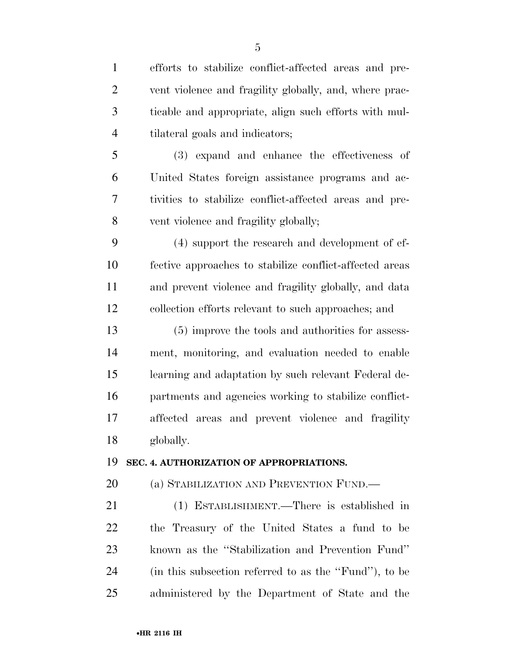| $\mathbf{1}$   | efforts to stabilize conflict-affected areas and pre-   |
|----------------|---------------------------------------------------------|
| $\overline{2}$ | vent violence and fragility globally, and, where prac-  |
| 3              | ticable and appropriate, align such efforts with mul-   |
| $\overline{4}$ | tilateral goals and indicators;                         |
| 5              | (3) expand and enhance the effectiveness of             |
| 6              | United States foreign assistance programs and ac-       |
| 7              | tivities to stabilize conflict-affected areas and pre-  |
| 8              | vent violence and fragility globally;                   |
| 9              | (4) support the research and development of ef-         |
| 10             | fective approaches to stabilize conflict-affected areas |
| 11             | and prevent violence and fragility globally, and data   |
| 12             | collection efforts relevant to such approaches; and     |
| 13             | (5) improve the tools and authorities for assess-       |
| 14             | ment, monitoring, and evaluation needed to enable       |
| 15             | learning and adaptation by such relevant Federal de-    |
| 16             | partments and agencies working to stabilize conflict-   |
| 17             | affected areas and prevent violence and fragility       |
| 18             | globally.                                               |
| 19             | SEC. 4. AUTHORIZATION OF APPROPRIATIONS.                |
| 20             | (a) STABILIZATION AND PREVENTION FUND.—                 |
| 21             | (1) ESTABLISHMENT.—There is established in              |
| 22             | the Treasury of the United States a fund to be          |
| 23             | known as the "Stabilization and Prevention Fund"        |
| 24             | (in this subsection referred to as the "Fund"), to be   |
| 25             | administered by the Department of State and the         |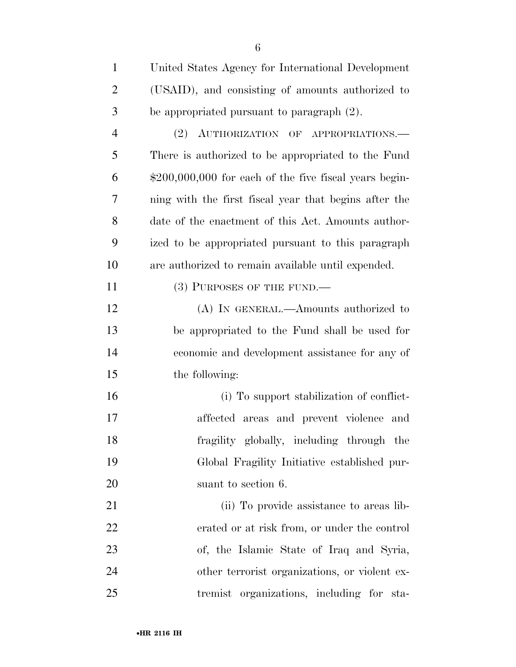| $\mathbf{1}$   | United States Agency for International Development      |
|----------------|---------------------------------------------------------|
| $\overline{2}$ | (USAID), and consisting of amounts authorized to        |
| 3              | be appropriated pursuant to paragraph $(2)$ .           |
| $\overline{4}$ | (2) AUTHORIZATION OF APPROPRIATIONS.                    |
| 5              | There is authorized to be appropriated to the Fund      |
| 6              | $$200,000,000$ for each of the five fiscal years begin- |
| 7              | ning with the first fiscal year that begins after the   |
| 8              | date of the enactment of this Act. Amounts author-      |
| 9              | ized to be appropriated pursuant to this paragraph      |
| 10             | are authorized to remain available until expended.      |
| 11             | $(3)$ PURPOSES OF THE FUND.—                            |
| 12             | (A) IN GENERAL.—Amounts authorized to                   |
| 13             | be appropriated to the Fund shall be used for           |
| 14             | economic and development assistance for any of          |
| 15             | the following:                                          |
| 16             | (i) To support stabilization of conflict-               |
| 17             | affected areas and prevent violence and                 |
| 18             | fragility globally, including through the               |
| 19             | Global Fragility Initiative established pur-            |
| 20             | suant to section 6.                                     |
| 21             | (ii) To provide assistance to areas lib-                |
| 22             | erated or at risk from, or under the control            |
| 23             | of, the Islamic State of Iraq and Syria,                |
| 24             | other terrorist organizations, or violent ex-           |
| 25             | tremist organizations, including for sta-               |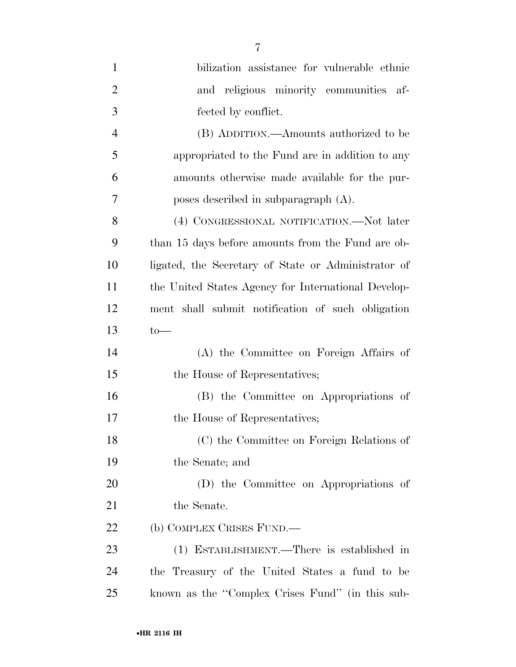| $\mathbf{1}$   | bilization assistance for vulnerable ethnic         |
|----------------|-----------------------------------------------------|
| $\overline{2}$ | and religious minority communities af-              |
| 3              | fected by conflict.                                 |
| $\overline{4}$ | (B) ADDITION.—Amounts authorized to be              |
| 5              | appropriated to the Fund are in addition to any     |
| 6              | amounts otherwise made available for the pur-       |
| 7              | poses described in subparagraph $(A)$ .             |
| 8              | (4) CONGRESSIONAL NOTIFICATION.—Not later           |
| 9              | than 15 days before amounts from the Fund are ob-   |
| 10             | ligated, the Secretary of State or Administrator of |
| 11             | the United States Agency for International Develop- |
| 12             | ment shall submit notification of such obligation   |
| 13             | $to-$                                               |
| 14             | (A) the Committee on Foreign Affairs of             |
| 15             | the House of Representatives;                       |
| 16             | (B) the Committee on Appropriations of              |
| 17             | the House of Representatives;                       |
| 18             | (C) the Committee on Foreign Relations of           |
| 19             | the Senate; and                                     |
| 20             | (D) the Committee on Appropriations of              |
| 21             | the Senate.                                         |
| 22             | (b) COMPLEX CRISES FUND.—                           |
| 23             | (1) ESTABLISHMENT.—There is established in          |
| 24             | the Treasury of the United States a fund to be      |
| 25             | known as the "Complex Crises Fund" (in this sub-    |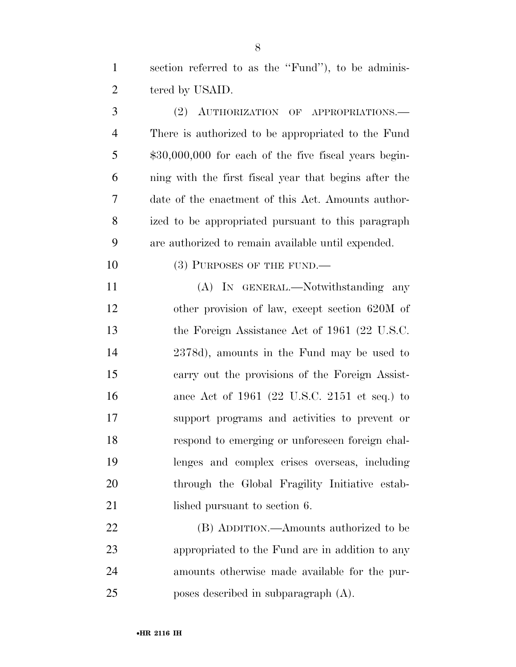section referred to as the ''Fund''), to be adminis-tered by USAID.

 (2) AUTHORIZATION OF APPROPRIATIONS.— There is authorized to be appropriated to the Fund 5 \$30,000,000 for each of the five fiscal years begin- ning with the first fiscal year that begins after the date of the enactment of this Act. Amounts author- ized to be appropriated pursuant to this paragraph are authorized to remain available until expended.

10 (3) PURPOSES OF THE FUND.—

 (A) IN GENERAL.—Notwithstanding any other provision of law, except section 620M of 13 the Foreign Assistance Act of 1961 (22 U.S.C. 2378d), amounts in the Fund may be used to carry out the provisions of the Foreign Assist- ance Act of 1961 (22 U.S.C. 2151 et seq.) to support programs and activities to prevent or respond to emerging or unforeseen foreign chal- lenges and complex crises overseas, including through the Global Fragility Initiative estab-21 lished pursuant to section 6.

 (B) ADDITION.—Amounts authorized to be appropriated to the Fund are in addition to any amounts otherwise made available for the pur-poses described in subparagraph (A).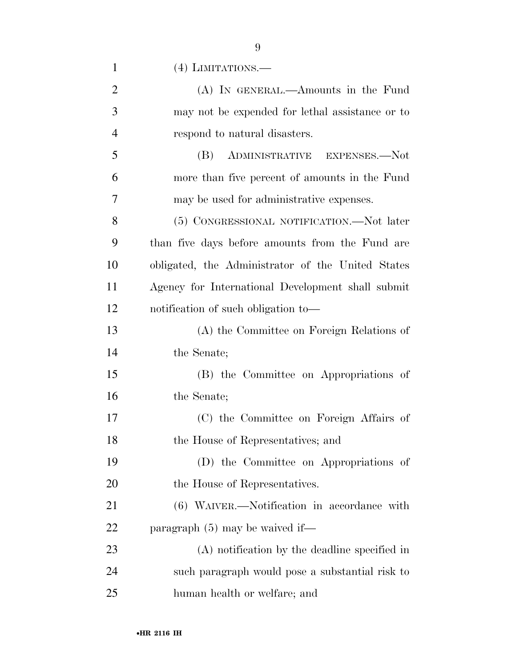(4) LIMITATIONS.—

| $\overline{2}$ | (A) IN GENERAL.—Amounts in the Fund               |
|----------------|---------------------------------------------------|
| 3              | may not be expended for lethal assistance or to   |
| $\overline{4}$ | respond to natural disasters.                     |
| 5              | (B) ADMINISTRATIVE EXPENSES.—Not                  |
| 6              | more than five percent of amounts in the Fund     |
| 7              | may be used for administrative expenses.          |
| 8              | (5) CONGRESSIONAL NOTIFICATION.-Not later         |
| 9              | than five days before amounts from the Fund are   |
| 10             | obligated, the Administrator of the United States |
| 11             | Agency for International Development shall submit |
| 12             | notification of such obligation to-               |
| 13             | (A) the Committee on Foreign Relations of         |
| 14             | the Senate;                                       |
| 15             | (B) the Committee on Appropriations of            |
| 16             | the Senate;                                       |
| 17             | (C) the Committee on Foreign Affairs of           |
| 18             | the House of Representatives; and                 |
| 19             | (D) the Committee on Appropriations of            |
| <b>20</b>      | the House of Representatives.                     |
| 21             | (6) WAIVER.—Notification in accordance with       |
| <u>22</u>      | paragraph $(5)$ may be waived if—                 |
| 23             | (A) notification by the deadline specified in     |
| 24             | such paragraph would pose a substantial risk to   |
| 25             | human health or welfare; and                      |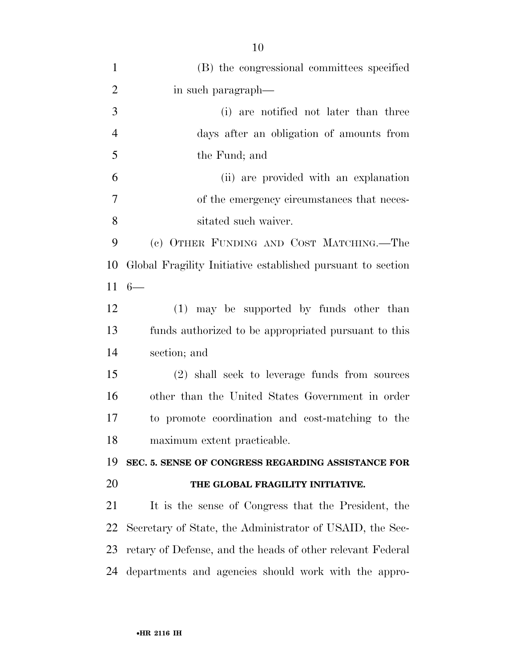| $\mathbf{1}$   | (B) the congressional committees specified                  |
|----------------|-------------------------------------------------------------|
| $\overline{2}$ | in such paragraph—                                          |
| 3              | (i) are notified not later than three                       |
| $\overline{4}$ | days after an obligation of amounts from                    |
| 5              | the Fund; and                                               |
| 6              | (ii) are provided with an explanation                       |
| 7              | of the emergency circumstances that neces-                  |
| 8              | sitated such waiver.                                        |
| 9              | (c) OTHER FUNDING AND COST MATCHING.—The                    |
| 10             | Global Fragility Initiative established pursuant to section |
| 11             | $6-$                                                        |
| 12             | (1) may be supported by funds other than                    |
| 13             | funds authorized to be appropriated pursuant to this        |
| 14             | section; and                                                |
| 15             | (2) shall seek to leverage funds from sources               |
| 16             | other than the United States Government in order            |
| 17             | to promote coordination and cost-matching to the            |
| 18             | maximum extent practicable.                                 |
| 19             | SEC. 5. SENSE OF CONGRESS REGARDING ASSISTANCE FOR          |
| 20             | THE GLOBAL FRAGILITY INITIATIVE.                            |
| 21             | It is the sense of Congress that the President, the         |
| 22             | Secretary of State, the Administrator of USAID, the Sec-    |
| 23             | retary of Defense, and the heads of other relevant Federal  |
| 24             | departments and agencies should work with the appro-        |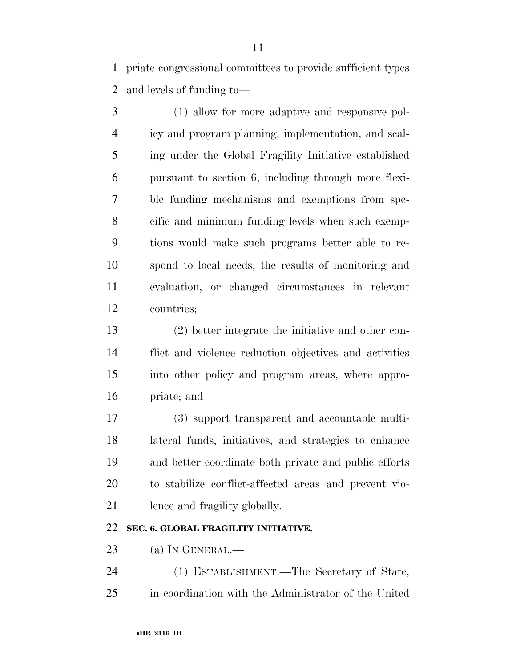priate congressional committees to provide sufficient types and levels of funding to—

 (1) allow for more adaptive and responsive pol- icy and program planning, implementation, and scal- ing under the Global Fragility Initiative established pursuant to section 6, including through more flexi- ble funding mechanisms and exemptions from spe- cific and minimum funding levels when such exemp- tions would make such programs better able to re- spond to local needs, the results of monitoring and evaluation, or changed circumstances in relevant countries;

 (2) better integrate the initiative and other con- flict and violence reduction objectives and activities into other policy and program areas, where appro-priate; and

 (3) support transparent and accountable multi- lateral funds, initiatives, and strategies to enhance and better coordinate both private and public efforts to stabilize conflict-affected areas and prevent vio-lence and fragility globally.

#### **SEC. 6. GLOBAL FRAGILITY INITIATIVE.**

23 (a) IN GENERAL.—

 (1) ESTABLISHMENT.—The Secretary of State, in coordination with the Administrator of the United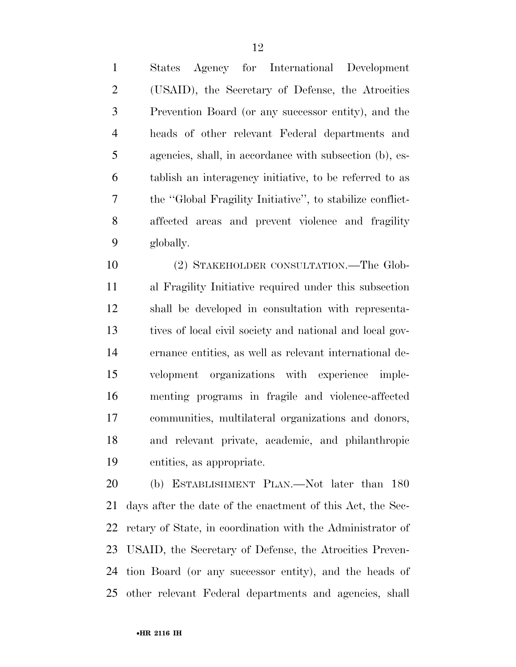States Agency for International Development (USAID), the Secretary of Defense, the Atrocities Prevention Board (or any successor entity), and the heads of other relevant Federal departments and agencies, shall, in accordance with subsection (b), es- tablish an interagency initiative, to be referred to as the ''Global Fragility Initiative'', to stabilize conflict- affected areas and prevent violence and fragility globally.

 (2) STAKEHOLDER CONSULTATION.—The Glob- al Fragility Initiative required under this subsection shall be developed in consultation with representa- tives of local civil society and national and local gov- ernance entities, as well as relevant international de- velopment organizations with experience imple- menting programs in fragile and violence-affected communities, multilateral organizations and donors, and relevant private, academic, and philanthropic entities, as appropriate.

 (b) ESTABLISHMENT PLAN.—Not later than 180 days after the date of the enactment of this Act, the Sec- retary of State, in coordination with the Administrator of USAID, the Secretary of Defense, the Atrocities Preven- tion Board (or any successor entity), and the heads of other relevant Federal departments and agencies, shall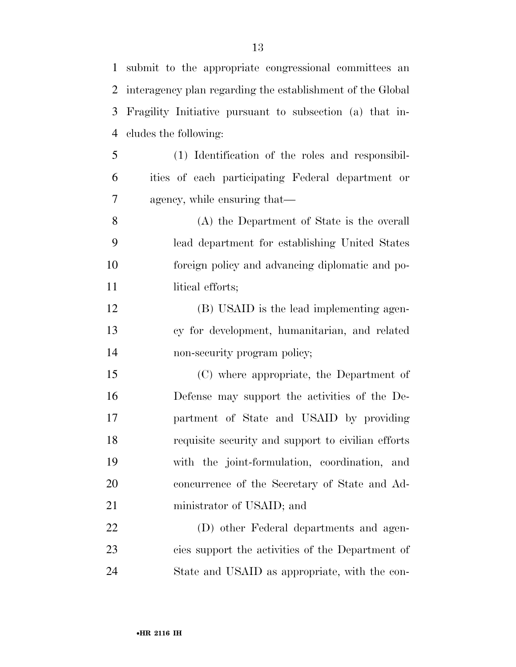| $\mathbf{1}$ | submit to the appropriate congressional committees an      |
|--------------|------------------------------------------------------------|
| 2            | interagency plan regarding the establishment of the Global |
| 3            | Fragility Initiative pursuant to subsection (a) that in-   |
| 4            | cludes the following:                                      |
| 5            | (1) Identification of the roles and responsibil-           |
| 6            | ities of each participating Federal department or          |
| 7            | agency, while ensuring that—                               |
| 8            | (A) the Department of State is the overall                 |
| 9            | lead department for establishing United States             |
| 10           | foreign policy and advancing diplomatic and po-            |
| 11           | litical efforts;                                           |
| 12           | (B) USAID is the lead implementing agen-                   |
| 13           | cy for development, humanitarian, and related              |
| 14           | non-security program policy;                               |
| 15           | (C) where appropriate, the Department of                   |
| 16           | Defense may support the activities of the De-              |
| 17           | partment of State and USAID by providing                   |
| 18           | requisite security and support to civilian efforts         |
| 19           | with the joint-formulation, coordination, and              |
| 20           | concurrence of the Secretary of State and Ad-              |
| 21           | ministrator of USAID; and                                  |
| 22           | (D) other Federal departments and agen-                    |
| 23           | cies support the activities of the Department of           |
| 24           | State and USAID as appropriate, with the con-              |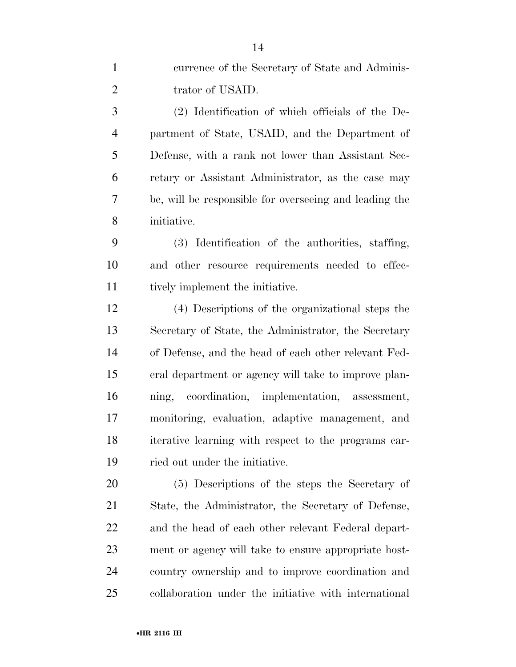| $\mathbf{1}$   | currence of the Secretary of State and Adminis-        |
|----------------|--------------------------------------------------------|
| $\overline{2}$ | trator of USAID.                                       |
| 3              | (2) Identification of which officials of the De-       |
| $\overline{4}$ | partment of State, USAID, and the Department of        |
| 5              | Defense, with a rank not lower than Assistant Sec-     |
| 6              | retary or Assistant Administrator, as the case may     |
| $\overline{7}$ | be, will be responsible for overseeing and leading the |
| 8              | initiative.                                            |
| 9              | (3) Identification of the authorities, staffing,       |
| 10             | and other resource requirements needed to effec-       |
| 11             | tively implement the initiative.                       |
| 12             | (4) Descriptions of the organizational steps the       |
| 13             | Secretary of State, the Administrator, the Secretary   |
| 14             | of Defense, and the head of each other relevant Fed-   |
| 15             | eral department or agency will take to improve plan-   |
| 16             | ning, coordination, implementation, assessment,        |
| 17             | monitoring, evaluation, adaptive management, and       |
| 18             | iterative learning with respect to the programs car-   |
| 19             | ried out under the initiative.                         |
| 20             | (5) Descriptions of the steps the Secretary of         |
| 21             | State, the Administrator, the Secretary of Defense,    |
| 22             | and the head of each other relevant Federal depart-    |
| 23             | ment or agency will take to ensure appropriate host-   |
| 24             | country ownership and to improve coordination and      |
| 25             | collaboration under the initiative with international  |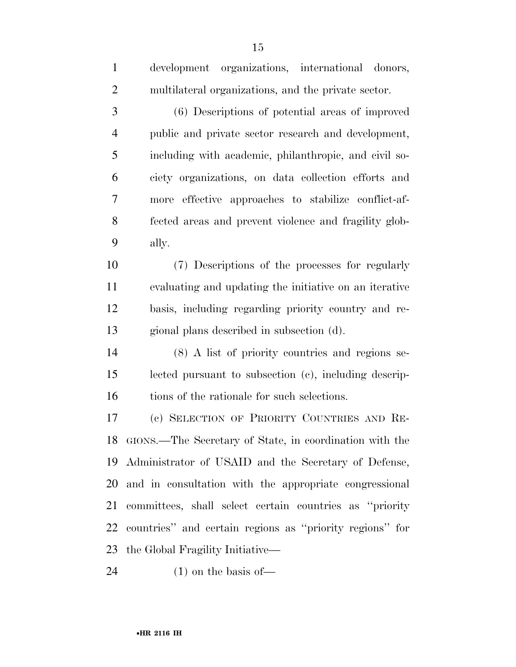| $\mathbf{1}$   | development organizations, international donors,           |
|----------------|------------------------------------------------------------|
| $\overline{2}$ | multilateral organizations, and the private sector.        |
| 3              | (6) Descriptions of potential areas of improved            |
| $\overline{4}$ | public and private sector research and development,        |
| 5              | including with academic, philanthropic, and civil so-      |
| 6              | ciety organizations, on data collection efforts and        |
| 7              | more effective approaches to stabilize conflict-af-        |
| 8              | fected areas and prevent violence and fragility glob-      |
| 9              | ally.                                                      |
| 10             | (7) Descriptions of the processes for regularly            |
| 11             | evaluating and updating the initiative on an iterative     |
| 12             | basis, including regarding priority country and re-        |
| 13             | gional plans described in subsection (d).                  |
| 14             | (8) A list of priority countries and regions se-           |
| 15             | lected pursuant to subsection (c), including descrip-      |
| 16             | tions of the rationale for such selections.                |
| 17             | (c) SELECTION OF PRIORITY COUNTRIES AND RE-                |
|                | 18 GIONS.—The Secretary of State, in coordination with the |
|                | 19 Administrator of USAID and the Secretary of Defense,    |
|                | 20 and in consultation with the appropriate congressional  |
| 21             | committees, shall select certain countries as "priority"   |
| 22             | countries" and certain regions as "priority regions" for   |
| 23             | the Global Fragility Initiative—                           |
| 24             | $(1)$ on the basis of —                                    |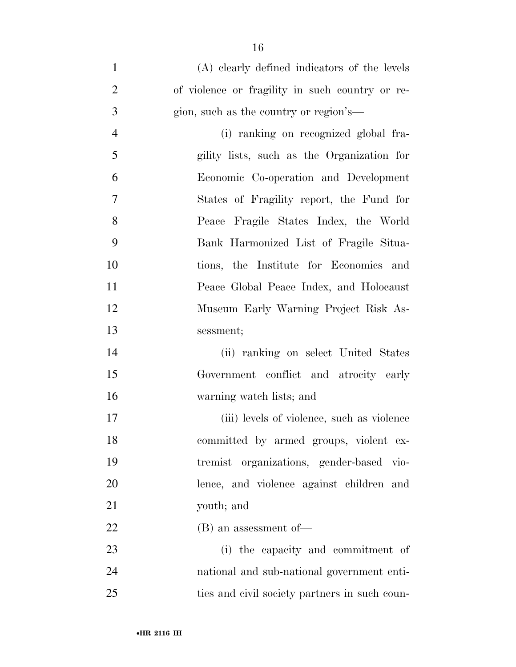| $\mathbf{1}$   | (A) clearly defined indicators of the levels    |
|----------------|-------------------------------------------------|
| $\overline{2}$ | of violence or fragility in such country or re- |
| 3              | gion, such as the country or region's—          |
| $\overline{4}$ | (i) ranking on recognized global fra-           |
| 5              | gility lists, such as the Organization for      |
| 6              | Economic Co-operation and Development           |
| $\overline{7}$ | States of Fragility report, the Fund for        |
| 8              | Peace Fragile States Index, the World           |
| 9              | Bank Harmonized List of Fragile Situa-          |
| 10             | tions, the Institute for Economics and          |
| 11             | Peace Global Peace Index, and Holocaust         |
| 12             | Museum Early Warning Project Risk As-           |
| 13             | sessment;                                       |
| 14             | (ii) ranking on select United States            |
| 15             | Government conflict and atrocity early          |
| 16             | warning watch lists; and                        |
| 17             | (iii) levels of violence, such as violence      |
| 18             | committed by armed groups, violent ex-          |
| 19             | tremist organizations, gender-based vio-        |
| 20             | lence, and violence against children and        |
| 21             | youth; and                                      |
| 22             | $(B)$ an assessment of —                        |
| 23             | (i) the capacity and commitment of              |
| 24             | national and sub-national government enti-      |
| 25             | ties and civil society partners in such coun-   |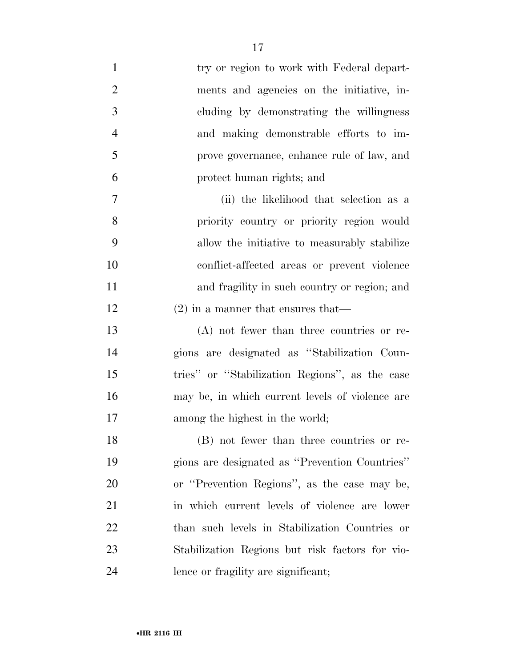| $\mathbf{1}$   | try or region to work with Federal depart-      |
|----------------|-------------------------------------------------|
| $\overline{2}$ | ments and agencies on the initiative, in-       |
| 3              | cluding by demonstrating the willingness        |
| $\overline{4}$ | and making demonstrable efforts to im-          |
| 5              | prove governance, enhance rule of law, and      |
| 6              | protect human rights; and                       |
| 7              | (ii) the likelihood that selection as a         |
| 8              | priority country or priority region would       |
| 9              | allow the initiative to measurably stabilize    |
| 10             | conflict-affected areas or prevent violence     |
| 11             | and fragility in such country or region; and    |
| 12             | $(2)$ in a manner that ensures that—            |
| 13             | $(A)$ not fewer than three countries or re-     |
| 14             | gions are designated as "Stabilization Coun-    |
| 15             | tries" or "Stabilization Regions", as the case  |
| 16             | may be, in which current levels of violence are |
| 17             | among the highest in the world;                 |
| 18             | (B) not fewer than three countries or re-       |
| 19             | gions are designated as "Prevention Countries"  |
| 20             | or "Prevention Regions", as the case may be,    |
| 21             | in which current levels of violence are lower   |
| 22             | than such levels in Stabilization Countries or  |
| 23             | Stabilization Regions but risk factors for vio- |
| 24             | lence or fragility are significant;             |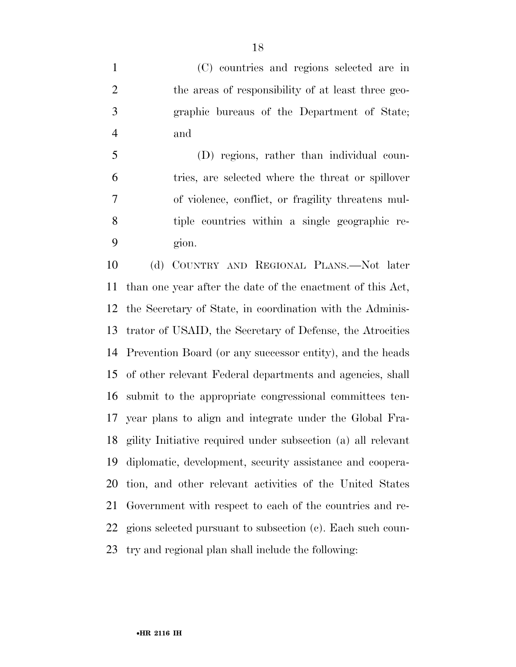(C) countries and regions selected are in the areas of responsibility of at least three geo- graphic bureaus of the Department of State; and

 (D) regions, rather than individual coun- tries, are selected where the threat or spillover of violence, conflict, or fragility threatens mul- tiple countries within a single geographic re-gion.

 (d) COUNTRY AND REGIONAL PLANS.—Not later than one year after the date of the enactment of this Act, the Secretary of State, in coordination with the Adminis- trator of USAID, the Secretary of Defense, the Atrocities Prevention Board (or any successor entity), and the heads of other relevant Federal departments and agencies, shall submit to the appropriate congressional committees ten- year plans to align and integrate under the Global Fra- gility Initiative required under subsection (a) all relevant diplomatic, development, security assistance and coopera- tion, and other relevant activities of the United States Government with respect to each of the countries and re- gions selected pursuant to subsection (c). Each such coun-try and regional plan shall include the following: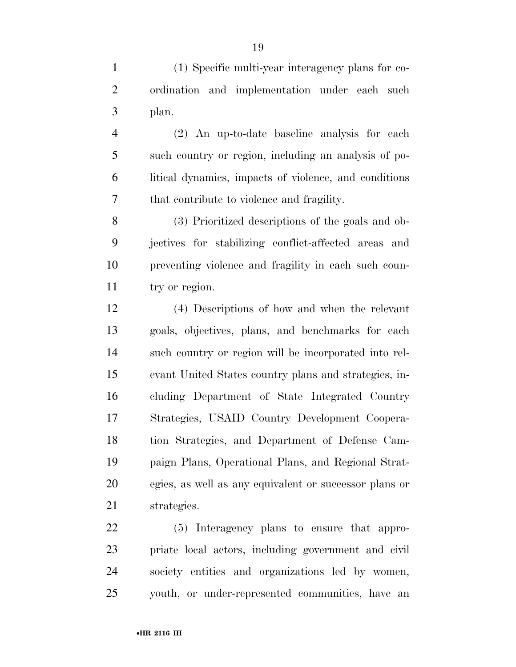(1) Specific multi-year interagency plans for co- ordination and implementation under each such plan.

 (2) An up-to-date baseline analysis for each such country or region, including an analysis of po- litical dynamics, impacts of violence, and conditions that contribute to violence and fragility.

 (3) Prioritized descriptions of the goals and ob- jectives for stabilizing conflict-affected areas and preventing violence and fragility in each such coun-11 try or region.

 (4) Descriptions of how and when the relevant goals, objectives, plans, and benchmarks for each such country or region will be incorporated into rel- evant United States country plans and strategies, in- cluding Department of State Integrated Country Strategies, USAID Country Development Coopera- tion Strategies, and Department of Defense Cam- paign Plans, Operational Plans, and Regional Strat- egies, as well as any equivalent or successor plans or strategies.

 (5) Interagency plans to ensure that appro- priate local actors, including government and civil society entities and organizations led by women, youth, or under-represented communities, have an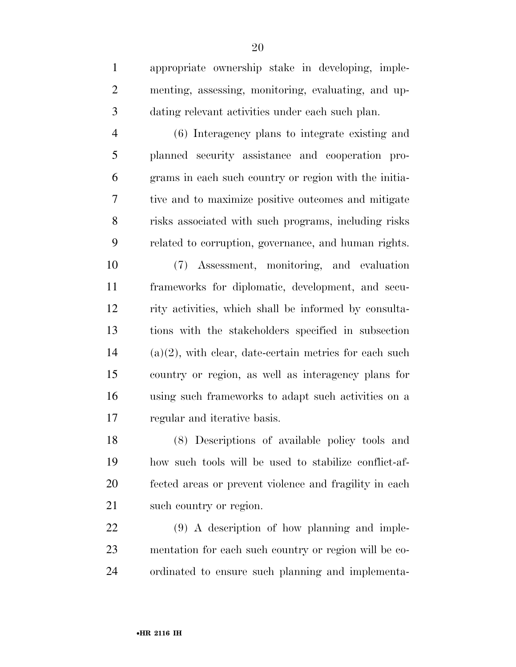appropriate ownership stake in developing, imple- menting, assessing, monitoring, evaluating, and up-dating relevant activities under each such plan.

 (6) Interagency plans to integrate existing and planned security assistance and cooperation pro- grams in each such country or region with the initia- tive and to maximize positive outcomes and mitigate risks associated with such programs, including risks related to corruption, governance, and human rights.

 (7) Assessment, monitoring, and evaluation frameworks for diplomatic, development, and secu- rity activities, which shall be informed by consulta- tions with the stakeholders specified in subsection (a)(2), with clear, date-certain metrics for each such country or region, as well as interagency plans for using such frameworks to adapt such activities on a regular and iterative basis.

 (8) Descriptions of available policy tools and how such tools will be used to stabilize conflict-af- fected areas or prevent violence and fragility in each 21 such country or region.

 (9) A description of how planning and imple- mentation for each such country or region will be co-ordinated to ensure such planning and implementa-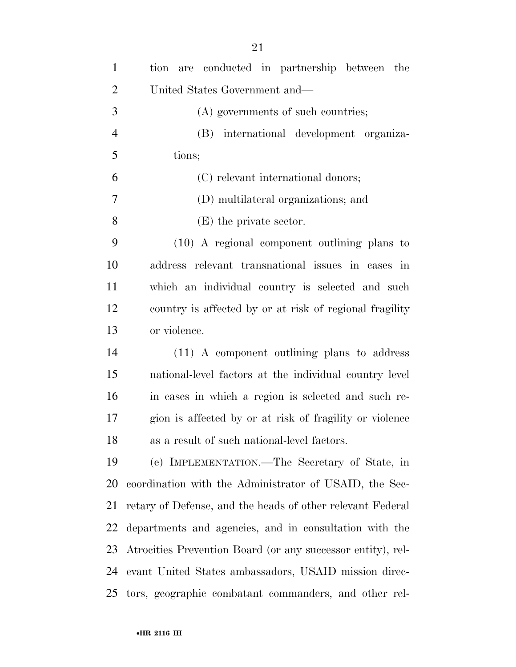| $\mathbf{1}$   | are conducted in partnership between the<br>tion            |
|----------------|-------------------------------------------------------------|
| $\overline{2}$ | United States Government and—                               |
| 3              | (A) governments of such countries;                          |
| $\overline{4}$ | (B) international development organiza-                     |
| 5              | tions;                                                      |
| 6              | (C) relevant international donors;                          |
| 7              | (D) multilateral organizations; and                         |
| 8              | (E) the private sector.                                     |
| 9              | $(10)$ A regional component outlining plans to              |
| 10             | address relevant transnational issues in cases in           |
| 11             | which an individual country is selected and such            |
| 12             | country is affected by or at risk of regional fragility     |
| 13             | or violence.                                                |
| 14             | $(11)$ A component outlining plans to address               |
| 15             | national-level factors at the individual country level      |
| 16             | in cases in which a region is selected and such re-         |
| 17             | gion is affected by or at risk of fragility or violence     |
| 18             | as a result of such national-level factors.                 |
| 19             | (e) IMPLEMENTATION.—The Secretary of State, in              |
| 20             | coordination with the Administrator of USAID, the Sec-      |
| 21             | retary of Defense, and the heads of other relevant Federal  |
| 22             | departments and agencies, and in consultation with the      |
| 23             | Atrocities Prevention Board (or any successor entity), rel- |
| 24             | evant United States ambassadors, USAID mission direc-       |
| 25             | tors, geographic combatant commanders, and other rel-       |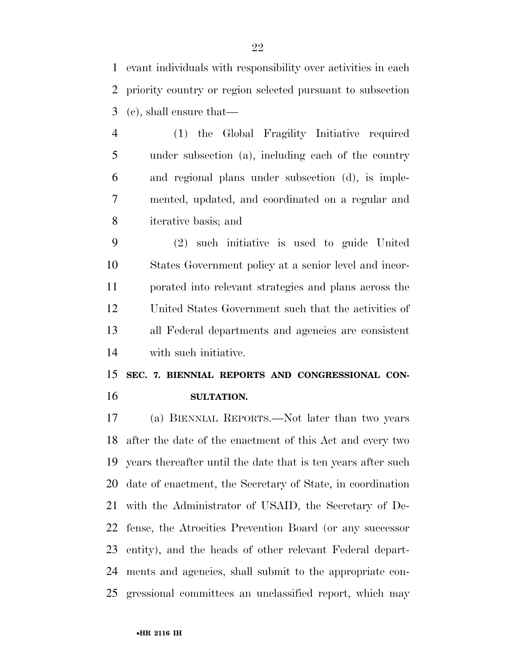evant individuals with responsibility over activities in each priority country or region selected pursuant to subsection (c), shall ensure that—

 (1) the Global Fragility Initiative required under subsection (a), including each of the country and regional plans under subsection (d), is imple- mented, updated, and coordinated on a regular and iterative basis; and

 (2) such initiative is used to guide United States Government policy at a senior level and incor- porated into relevant strategies and plans across the United States Government such that the activities of all Federal departments and agencies are consistent with such initiative.

## **SEC. 7. BIENNIAL REPORTS AND CONGRESSIONAL CON-SULTATION.**

 (a) BIENNIAL REPORTS.—Not later than two years after the date of the enactment of this Act and every two years thereafter until the date that is ten years after such date of enactment, the Secretary of State, in coordination with the Administrator of USAID, the Secretary of De- fense, the Atrocities Prevention Board (or any successor entity), and the heads of other relevant Federal depart- ments and agencies, shall submit to the appropriate con-gressional committees an unclassified report, which may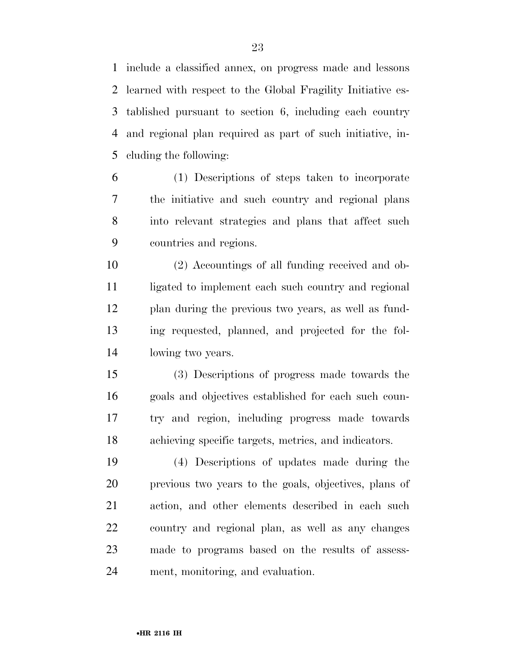include a classified annex, on progress made and lessons learned with respect to the Global Fragility Initiative es- tablished pursuant to section 6, including each country and regional plan required as part of such initiative, in-cluding the following:

 (1) Descriptions of steps taken to incorporate the initiative and such country and regional plans into relevant strategies and plans that affect such countries and regions.

 (2) Accountings of all funding received and ob-11 ligated to implement each such country and regional plan during the previous two years, as well as fund- ing requested, planned, and projected for the fol-lowing two years.

 (3) Descriptions of progress made towards the goals and objectives established for each such coun- try and region, including progress made towards achieving specific targets, metrics, and indicators.

 (4) Descriptions of updates made during the previous two years to the goals, objectives, plans of action, and other elements described in each such country and regional plan, as well as any changes made to programs based on the results of assess-ment, monitoring, and evaluation.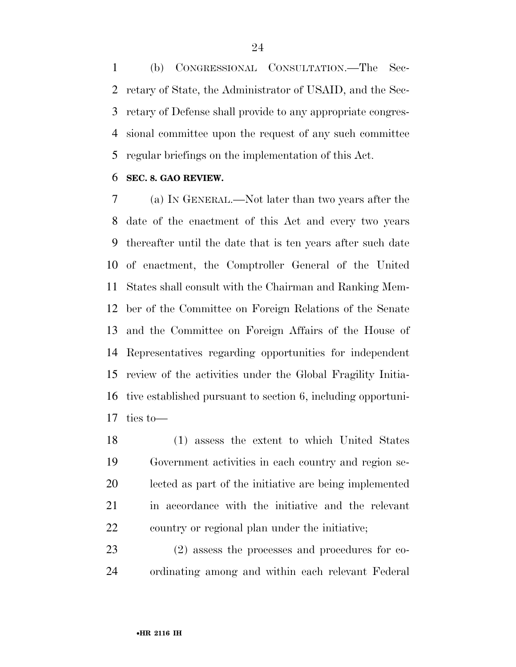(b) CONGRESSIONAL CONSULTATION.—The Sec- retary of State, the Administrator of USAID, and the Sec- retary of Defense shall provide to any appropriate congres- sional committee upon the request of any such committee regular briefings on the implementation of this Act.

#### **SEC. 8. GAO REVIEW.**

 (a) IN GENERAL.—Not later than two years after the date of the enactment of this Act and every two years thereafter until the date that is ten years after such date of enactment, the Comptroller General of the United States shall consult with the Chairman and Ranking Mem- ber of the Committee on Foreign Relations of the Senate and the Committee on Foreign Affairs of the House of Representatives regarding opportunities for independent review of the activities under the Global Fragility Initia- tive established pursuant to section 6, including opportuni-ties to—

 (1) assess the extent to which United States Government activities in each country and region se- lected as part of the initiative are being implemented in accordance with the initiative and the relevant country or regional plan under the initiative;

 (2) assess the processes and procedures for co-ordinating among and within each relevant Federal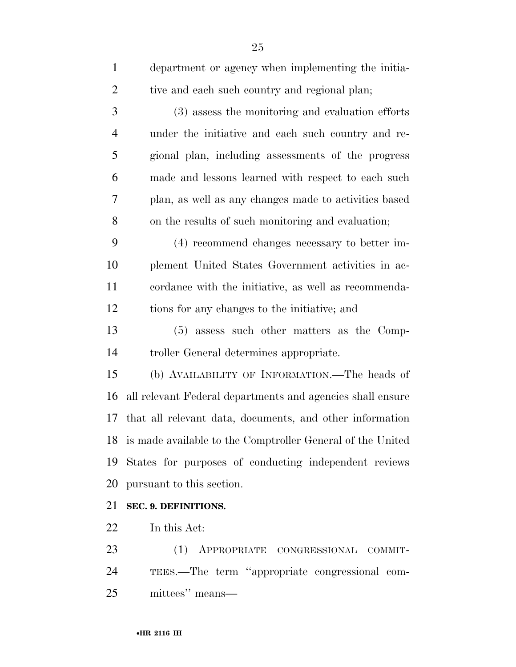| $\mathbf{1}$   | department or agency when implementing the initia-         |
|----------------|------------------------------------------------------------|
| $\overline{2}$ | tive and each such country and regional plan;              |
| 3              | (3) assess the monitoring and evaluation efforts           |
| $\overline{4}$ | under the initiative and each such country and re-         |
| 5              | gional plan, including assessments of the progress         |
| 6              | made and lessons learned with respect to each such         |
| 7              | plan, as well as any changes made to activities based      |
| 8              | on the results of such monitoring and evaluation;          |
| 9              | (4) recommend changes necessary to better im-              |
| 10             | plement United States Government activities in ac-         |
| 11             | cordance with the initiative, as well as recommenda-       |
| 12             | tions for any changes to the initiative; and               |
| 13             | (5) assess such other matters as the Comp-                 |
| 14             | troller General determines appropriate.                    |
| 15             | (b) AVAILABILITY OF INFORMATION.—The heads of              |
| 16             | all relevant Federal departments and agencies shall ensure |
| 17             | that all relevant data, documents, and other information   |
| 18             | is made available to the Comptroller General of the United |
| 19             | States for purposes of conducting independent reviews      |
| 20             | pursuant to this section.                                  |
| 21             | SEC. 9. DEFINITIONS.                                       |
| 22             | In this Act:                                               |
| 23             | (1) APPROPRIATE CONGRESSIONAL COMMIT-                      |
| 24             | TEES.—The term "appropriate congressional com-             |

mittees'' means—